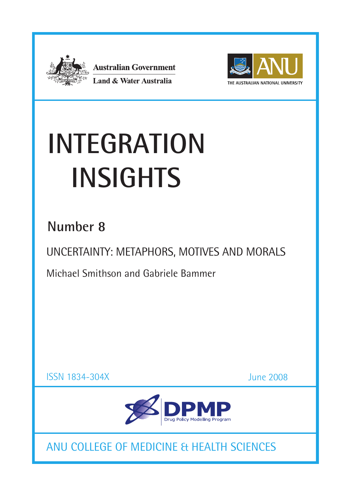

**Australian Government Land & Water Australia** 



# **INTEGRATION Insights**

### **Number 8**

UNCERTAINTY: METAPHORS, MOTIVES AND MORALS

Michael Smithson and Gabriele Bammer

ISSN 1834-304X

June 2008



ANU COLLEGE OF MEDICINE & HEALTH SCIENCES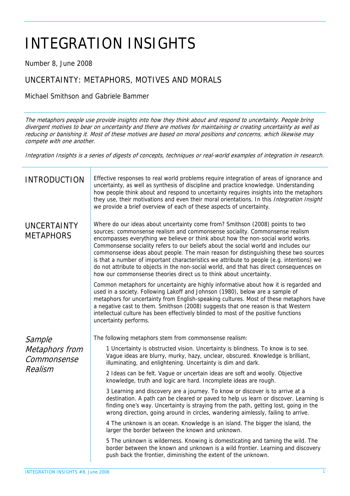## INTEGRATION INSIGHTS

Number 8, June 2008

#### UNCERTAINTY: METAPHORS, MOTIVES AND MORALS

Michael Smithson and Gabriele Bammer

The metaphors people use provide insights into how they think about and respond to uncertainty. People bring divergent motives to bear on uncertainty and there are motives for maintaining or creating uncertainty as well as reducing or banishing it. Most of these motives are based on moral positions and concerns, which likewise may compete with one another.

Integration Insights is a series of digests of concepts, techniques or real-world examples of integration in research.

| <b>INTRODUCTION</b>                                | Effective responses to real world problems require integration of areas of ignorance and<br>uncertainty, as well as synthesis of discipline and practice knowledge. Understanding<br>how people think about and respond to uncertainty requires insights into the metaphors<br>they use, their motivations and even their moral orientations. In this Integration Insight<br>we provide a brief overview of each of these aspects of uncertainty.                                                                                                                                                                                                                                              |
|----------------------------------------------------|------------------------------------------------------------------------------------------------------------------------------------------------------------------------------------------------------------------------------------------------------------------------------------------------------------------------------------------------------------------------------------------------------------------------------------------------------------------------------------------------------------------------------------------------------------------------------------------------------------------------------------------------------------------------------------------------|
| <b>UNCERTAINTY</b><br><b>METAPHORS</b>             | Where do our ideas about uncertainty come from? Smithson (2008) points to two<br>sources: commonsense realism and commonsense sociality. Commonsense realism<br>encompasses everything we believe or think about how the non-social world works.<br>Commonsense sociality refers to our beliefs about the social world and includes our<br>commonsense ideas about people. The main reason for distinguishing these two sources<br>is that a number of important characteristics we attribute to people (e.g. intentions) we<br>do not attribute to objects in the non-social world, and that has direct consequences on<br>how our commonsense theories direct us to think about uncertainty. |
|                                                    | Common metaphors for uncertainty are highly informative about how it is regarded and<br>used in a society. Following Lakoff and Johnson (1980), below are a sample of<br>metaphors for uncertainty from English-speaking cultures. Most of these metaphors have<br>a negative cast to them. Smithson (2008) suggests that one reason is that Western<br>intellectual culture has been effectively blinded to most of the positive functions<br>uncertainty performs.                                                                                                                                                                                                                           |
| Sample<br>Metaphors from<br>Commonsense<br>Realism | The following metaphors stem from commonsense realism:                                                                                                                                                                                                                                                                                                                                                                                                                                                                                                                                                                                                                                         |
|                                                    | 1 Uncertainty is obstructed vision. Uncertainty is blindness. To know is to see.<br>Vague ideas are blurry, murky, hazy, unclear, obscured. Knowledge is brilliant,<br>illuminating, and enlightening. Uncertainty is dim and dark.                                                                                                                                                                                                                                                                                                                                                                                                                                                            |
|                                                    | 2 Ideas can be felt. Vague or uncertain ideas are soft and woolly. Objective<br>knowledge, truth and logic are hard. Incomplete ideas are rough.                                                                                                                                                                                                                                                                                                                                                                                                                                                                                                                                               |
|                                                    | 3 Learning and discovery are a journey. To know or discover is to arrive at a<br>destination. A path can be cleared or paved to help us learn or discover. Learning is<br>finding one's way. Uncertainty is straying from the path, getting lost, going in the<br>wrong direction, going around in circles, wandering aimlessly, failing to arrive.                                                                                                                                                                                                                                                                                                                                            |
|                                                    | 4 The unknown is an ocean. Knowledge is an island. The bigger the island, the<br>larger the border between the known and unknown.                                                                                                                                                                                                                                                                                                                                                                                                                                                                                                                                                              |
|                                                    | 5 The unknown is wilderness. Knowing is domesticating and taming the wild. The<br>border between the known and unknown is a wild frontier. Learning and discovery<br>push back the frontier, diminishing the extent of the unknown.                                                                                                                                                                                                                                                                                                                                                                                                                                                            |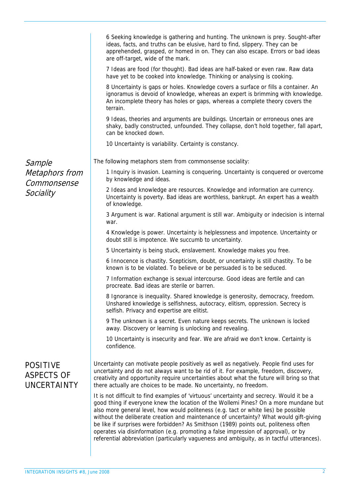|                                                            | 6 Seeking knowledge is gathering and hunting. The unknown is prey. Sought-after<br>ideas, facts, and truths can be elusive, hard to find, slippery. They can be<br>apprehended, grasped, or homed in on. They can also escape. Errors or bad ideas<br>are off-target, wide of the mark.<br>7 Ideas are food (for thought). Bad ideas are half-baked or even raw. Raw data<br>have yet to be cooked into knowledge. Thinking or analysing is cooking.<br>8 Uncertainty is gaps or holes. Knowledge covers a surface or fills a container. An<br>ignoramus is devoid of knowledge, whereas an expert is brimming with knowledge.<br>An incomplete theory has holes or gaps, whereas a complete theory covers the<br>terrain.<br>9 Ideas, theories and arguments are buildings. Uncertain or erroneous ones are<br>shaky, badly constructed, unfounded. They collapse, don't hold together, fall apart,<br>can be knocked down.<br>10 Uncertainty is variability. Certainty is constancy. |
|------------------------------------------------------------|----------------------------------------------------------------------------------------------------------------------------------------------------------------------------------------------------------------------------------------------------------------------------------------------------------------------------------------------------------------------------------------------------------------------------------------------------------------------------------------------------------------------------------------------------------------------------------------------------------------------------------------------------------------------------------------------------------------------------------------------------------------------------------------------------------------------------------------------------------------------------------------------------------------------------------------------------------------------------------------|
|                                                            |                                                                                                                                                                                                                                                                                                                                                                                                                                                                                                                                                                                                                                                                                                                                                                                                                                                                                                                                                                                        |
| Sample                                                     | The following metaphors stem from commonsense sociality:                                                                                                                                                                                                                                                                                                                                                                                                                                                                                                                                                                                                                                                                                                                                                                                                                                                                                                                               |
| Metaphors from<br>Commonsense<br>Sociality                 | 1 Inquiry is invasion. Learning is conquering. Uncertainty is conquered or overcome<br>by knowledge and ideas.                                                                                                                                                                                                                                                                                                                                                                                                                                                                                                                                                                                                                                                                                                                                                                                                                                                                         |
|                                                            | 2 Ideas and knowledge are resources. Knowledge and information are currency.<br>Uncertainty is poverty. Bad ideas are worthless, bankrupt. An expert has a wealth<br>of knowledge.                                                                                                                                                                                                                                                                                                                                                                                                                                                                                                                                                                                                                                                                                                                                                                                                     |
|                                                            | 3 Argument is war. Rational argument is still war. Ambiguity or indecision is internal<br>war.                                                                                                                                                                                                                                                                                                                                                                                                                                                                                                                                                                                                                                                                                                                                                                                                                                                                                         |
|                                                            | 4 Knowledge is power. Uncertainty is helplessness and impotence. Uncertainty or<br>doubt still is impotence. We succumb to uncertainty.                                                                                                                                                                                                                                                                                                                                                                                                                                                                                                                                                                                                                                                                                                                                                                                                                                                |
|                                                            | 5 Uncertainty is being stuck, enslavement. Knowledge makes you free.                                                                                                                                                                                                                                                                                                                                                                                                                                                                                                                                                                                                                                                                                                                                                                                                                                                                                                                   |
|                                                            | 6 Innocence is chastity. Scepticism, doubt, or uncertainty is still chastity. To be<br>known is to be violated. To believe or be persuaded is to be seduced.                                                                                                                                                                                                                                                                                                                                                                                                                                                                                                                                                                                                                                                                                                                                                                                                                           |
|                                                            | 7 Information exchange is sexual intercourse. Good ideas are fertile and can<br>procreate. Bad ideas are sterile or barren.                                                                                                                                                                                                                                                                                                                                                                                                                                                                                                                                                                                                                                                                                                                                                                                                                                                            |
|                                                            | 8 Ignorance is inequality. Shared knowledge is generosity, democracy, freedom.<br>Unshared knowledge is selfishness, autocracy, elitism, oppression. Secrecy is<br>selfish. Privacy and expertise are elitist.                                                                                                                                                                                                                                                                                                                                                                                                                                                                                                                                                                                                                                                                                                                                                                         |
|                                                            | 9 The unknown is a secret. Even nature keeps secrets. The unknown is locked<br>away. Discovery or learning is unlocking and revealing.                                                                                                                                                                                                                                                                                                                                                                                                                                                                                                                                                                                                                                                                                                                                                                                                                                                 |
|                                                            | 10 Uncertainty is insecurity and fear. We are afraid we don't know. Certainty is<br>confidence.                                                                                                                                                                                                                                                                                                                                                                                                                                                                                                                                                                                                                                                                                                                                                                                                                                                                                        |
| <b>POSITIVE</b><br><b>ASPECTS OF</b><br><b>UNCERTAINTY</b> | Uncertainty can motivate people positively as well as negatively. People find uses for<br>uncertainty and do not always want to be rid of it. For example, freedom, discovery,<br>creativity and opportunity require uncertainties about what the future will bring so that<br>there actually are choices to be made. No uncertainty, no freedom.                                                                                                                                                                                                                                                                                                                                                                                                                                                                                                                                                                                                                                      |
|                                                            | It is not difficult to find examples of 'virtuous' uncertainty and secrecy. Would it be a<br>good thing if everyone knew the location of the Wollemi Pines? On a more mundane but<br>also more general level, how would politeness (e.g. tact or white lies) be possible<br>without the deliberate creation and maintenance of uncertainty? What would gift-giving<br>be like if surprises were forbidden? As Smithson (1989) points out, politeness often<br>operates via disinformation (e.g. promoting a false impression of approval), or by<br>referential abbreviation (particularly vagueness and ambiguity, as in tactful utterances).                                                                                                                                                                                                                                                                                                                                         |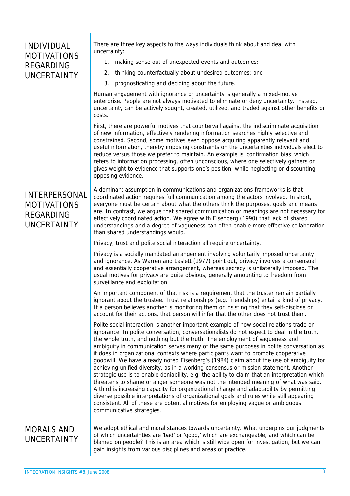#### INDIVIDUAL MOTIVATIONS REGARDING UNCERTAINTY

There are three key aspects to the ways individuals think about and deal with uncertainty:

- 1. making sense out of unexpected events and outcomes;
- 2. thinking counterfactually about undesired outcomes; and
- 3. prognosticating and deciding about the future.

Human engagement with ignorance or uncertainty is generally a mixed-motive enterprise. People are not always motivated to eliminate or deny uncertainty. Instead, uncertainty can be actively sought, created, utilized, and traded against other benefits or costs.

First, there are powerful motives that countervail against the indiscriminate acquisition of new information, effectively rendering information searches highly selective and constrained. Second, some motives even oppose acquiring apparently relevant and useful information, thereby imposing constraints on the uncertainties individuals elect to reduce versus those we prefer to maintain. An example is 'confirmation bias' which refers to information processing, often unconscious, where one selectively gathers or gives weight to evidence that supports one's position, while neglecting or discounting opposing evidence.

#### INTERPERSONAL MOTIVATIONS REGARDING UNCERTAINTY

A dominant assumption in communications and organizations frameworks is that coordinated action requires full communication among the actors involved. In short, everyone must be certain about what the others think the purposes, goals and means are. In contrast, we argue that shared communication or meanings are not necessary for effectively coordinated action. We agree with Eisenberg (1990) that lack of shared understandings and a degree of vagueness can often enable more effective collaboration than shared understandings would.

Privacy, trust and polite social interaction all require uncertainty.

Privacy is a socially mandated arrangement involving voluntarily imposed uncertainty and ignorance. As Warren and Laslett (1977) point out, privacy involves a consensual and essentially cooperative arrangement, whereas secrecy is unilaterally imposed. The usual motives for privacy are quite obvious, generally amounting to freedom from surveillance and exploitation.

An important component of that risk is a requirement that the truster remain partially ignorant about the trustee. Trust relationships (e.g. friendships) entail a kind of privacy. If a person believes another is monitoring them or insisting that they self-disclose or account for their actions, that person will infer that the other does not trust them.

Polite social interaction is another important example of how social relations trade on ignorance. In polite conversation, conversationalists do not expect to deal in the truth, the whole truth, and nothing but the truth. The employment of vagueness and ambiguity in communication serves many of the same purposes in polite conversation as it does in organizational contexts where participants want to promote cooperative goodwill. We have already noted Eisenberg's (1984) claim about the use of ambiguity for achieving unified diversity, as in a working consensus or mission statement. Another strategic use is to enable deniability, e.g. the ability to claim that an interpretation which threatens to shame or anger someone was not the intended meaning of what was said. A third is increasing capacity for organizational change and adaptability by permitting diverse possible interpretations of organizational goals and rules while still appearing consistent. All of these are potential motives for employing vague or ambiguous communicative strategies.

#### MORALS AND UNCERTAINTY

We adopt ethical and moral stances towards uncertainty. What underpins our judgments of which uncertainties are 'bad' or 'good,' which are exchangeable, and which can be blamed on people? This is an area which is still wide open for investigation, but we can gain insights from various disciplines and areas of practice.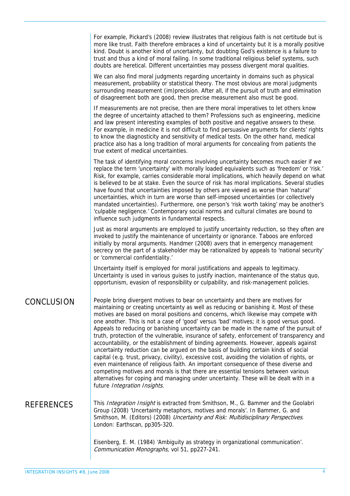|                   | For example, Pickard's (2008) review illustrates that religious faith is not certitude but is<br>more like trust. Faith therefore embraces a kind of uncertainty but it is a morally positive<br>kind. Doubt is another kind of uncertainty, but doubting God's existence is a failure to<br>trust and thus a kind of moral failing. In some traditional religious belief systems, such<br>doubts are heretical. Different uncertainties may possess divergent moral qualities.                                                                                                                                                                                                                                                                                                                                                                                                                                                                                                                                                                                                                                                        |
|-------------------|----------------------------------------------------------------------------------------------------------------------------------------------------------------------------------------------------------------------------------------------------------------------------------------------------------------------------------------------------------------------------------------------------------------------------------------------------------------------------------------------------------------------------------------------------------------------------------------------------------------------------------------------------------------------------------------------------------------------------------------------------------------------------------------------------------------------------------------------------------------------------------------------------------------------------------------------------------------------------------------------------------------------------------------------------------------------------------------------------------------------------------------|
|                   | We can also find moral judgments regarding uncertainty in domains such as physical<br>measurement, probability or statistical theory. The most obvious are moral judgments<br>surrounding measurement (im)precision. After all, if the pursuit of truth and elimination<br>of disagreement both are good, then precise measurement also must be good.                                                                                                                                                                                                                                                                                                                                                                                                                                                                                                                                                                                                                                                                                                                                                                                  |
|                   | If measurements are not precise, then are there moral imperatives to let others know<br>the degree of uncertainty attached to them? Professions such as engineering, medicine<br>and law present interesting examples of both positive and negative answers to these.<br>For example, in medicine it is not difficult to find persuasive arguments for clients' rights<br>to know the diagnosticity and sensitivity of medical tests. On the other hand, medical<br>practice also has a long tradition of moral arguments for concealing from patients the<br>true extent of medical uncertainties.                                                                                                                                                                                                                                                                                                                                                                                                                                                                                                                                    |
|                   | The task of identifying moral concerns involving uncertainty becomes much easier if we<br>replace the term 'uncertainty' with morally loaded equivalents such as 'freedom' or 'risk.'<br>Risk, for example, carries considerable moral implications, which heavily depend on what<br>is believed to be at stake. Even the source of risk has moral implications. Several studies<br>have found that uncertainties imposed by others are viewed as worse than 'natural'<br>uncertainties, which in turn are worse than self-imposed uncertainties (or collectively<br>mandated uncertainties). Furthermore, one person's 'risk worth taking' may be another's<br>'culpable negligence.' Contemporary social norms and cultural climates are bound to<br>influence such judgments in fundamental respects.                                                                                                                                                                                                                                                                                                                               |
|                   | Just as moral arguments are employed to justify uncertainty reduction, so they often are<br>invoked to justify the maintenance of uncertainty or ignorance. Taboos are enforced<br>initially by moral arguments. Handmer (2008) avers that in emergency management<br>secrecy on the part of a stakeholder may be rationalized by appeals to 'national security'<br>or 'commercial confidentiality.'                                                                                                                                                                                                                                                                                                                                                                                                                                                                                                                                                                                                                                                                                                                                   |
|                   | Uncertainty itself is employed for moral justifications and appeals to legitimacy.<br>Uncertainty is used in various guises to justify inaction, maintenance of the status quo,<br>opportunism, evasion of responsibility or culpability, and risk-management policies.                                                                                                                                                                                                                                                                                                                                                                                                                                                                                                                                                                                                                                                                                                                                                                                                                                                                |
| CONCLUSION        | People bring divergent motives to bear on uncertainty and there are motives for<br>maintaining or creating uncertainty as well as reducing or banishing it. Most of these<br>motives are based on moral positions and concerns, which likewise may compete with<br>one another. This is not a case of 'good' versus 'bad' motives; it is good versus good.<br>Appeals to reducing or banishing uncertainty can be made in the name of the pursuit of<br>truth, protection of the vulnerable, insurance of safety, enforcement of transparency and<br>accountability, or the establishment of binding agreements. However, appeals against<br>uncertainty reduction can be argued on the basis of building certain kinds of social<br>capital (e.g. trust, privacy, civility), excessive cost, avoiding the violation of rights, or<br>even maintenance of religious faith. An important consequence of these diverse and<br>competing motives and morals is that there are essential tensions between various<br>alternatives for coping and managing under uncertainty. These will be dealt with in a<br>future Integration Insights. |
| <b>REFERENCES</b> | This Integration Insight is extracted from Smithson, M., G. Bammer and the Goolabri<br>Group (2008) 'Uncertainty metaphors, motives and morals'. In Bammer, G. and<br>Smithson, M. (Editors) (2008) Uncertainty and Risk: Multidisciplinary Perspectives.<br>London: Earthscan, pp305-320.                                                                                                                                                                                                                                                                                                                                                                                                                                                                                                                                                                                                                                                                                                                                                                                                                                             |
|                   | Eisenberg, E. M. (1984) 'Ambiguity as strategy in organizational communication'.<br>Communication Monographs, vol 51, pp227-241.                                                                                                                                                                                                                                                                                                                                                                                                                                                                                                                                                                                                                                                                                                                                                                                                                                                                                                                                                                                                       |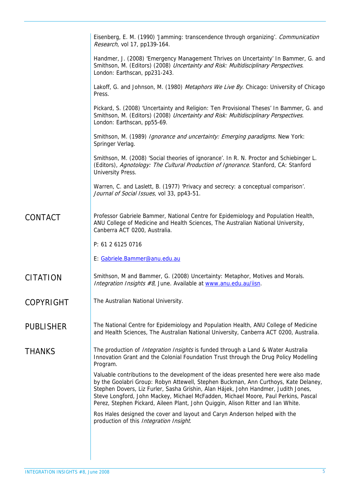|                  | Eisenberg, E. M. (1990) 'Jamming: transcendence through organizing'. Communication<br>Research, vol 17, pp139-164.                                                                                                                                                                                                                                                                                                                          |
|------------------|---------------------------------------------------------------------------------------------------------------------------------------------------------------------------------------------------------------------------------------------------------------------------------------------------------------------------------------------------------------------------------------------------------------------------------------------|
|                  | Handmer, J. (2008) 'Emergency Management Thrives on Uncertainty' In Bammer, G. and<br>Smithson, M. (Editors) (2008) Uncertainty and Risk: Multidisciplinary Perspectives.<br>London: Earthscan, pp231-243.                                                                                                                                                                                                                                  |
|                  | Lakoff, G. and Johnson, M. (1980) Metaphors We Live By. Chicago: University of Chicago<br>Press.                                                                                                                                                                                                                                                                                                                                            |
|                  | Pickard, S. (2008) 'Uncertainty and Religion: Ten Provisional Theses' In Bammer, G. and<br>Smithson, M. (Editors) (2008) Uncertainty and Risk: Multidisciplinary Perspectives.<br>London: Earthscan, pp55-69.                                                                                                                                                                                                                               |
|                  | Smithson, M. (1989) Ignorance and uncertainty: Emerging paradigms. New York:<br>Springer Verlag.                                                                                                                                                                                                                                                                                                                                            |
|                  | Smithson, M. (2008) 'Social theories of ignorance'. In R. N. Proctor and Schiebinger L.<br>(Editors), Agnotology: The Cultural Production of Ignorance. Stanford, CA: Stanford<br>University Press.                                                                                                                                                                                                                                         |
|                  | Warren, C. and Laslett, B. (1977) 'Privacy and secrecy: a conceptual comparison'.<br>Journal of Social Issues, vol 33, pp43-51.                                                                                                                                                                                                                                                                                                             |
| <b>CONTACT</b>   | Professor Gabriele Bammer, National Centre for Epidemiology and Population Health,<br>ANU College of Medicine and Health Sciences, The Australian National University,<br>Canberra ACT 0200, Australia.                                                                                                                                                                                                                                     |
|                  | P: 61 2 6125 0716                                                                                                                                                                                                                                                                                                                                                                                                                           |
|                  | E: Gabriele.Bammer@anu.edu.au                                                                                                                                                                                                                                                                                                                                                                                                               |
| <b>CITATION</b>  | Smithson, M and Bammer, G. (2008) Uncertainty: Metaphor, Motives and Morals.<br>Integration Insights #8, June. Available at www.anu.edu.au/iisn.                                                                                                                                                                                                                                                                                            |
| <b>COPYRIGHT</b> | The Australian National University.                                                                                                                                                                                                                                                                                                                                                                                                         |
| <b>PUBLISHER</b> | The National Centre for Epidemiology and Population Health, ANU College of Medicine<br>and Health Sciences, The Australian National University, Canberra ACT 0200, Australia.                                                                                                                                                                                                                                                               |
| <b>THANKS</b>    | The production of <i>Integration Insights</i> is funded through a Land & Water Australia<br>Innovation Grant and the Colonial Foundation Trust through the Drug Policy Modelling<br>Program.                                                                                                                                                                                                                                                |
|                  | Valuable contributions to the development of the ideas presented here were also made<br>by the Goolabri Group: Robyn Attewell, Stephen Buckman, Ann Curthoys, Kate Delaney,<br>Stephen Dovers, Liz Furler, Sasha Grishin, Alan Hájek, John Handmer, Judith Jones,<br>Steve Longford, John Mackey, Michael McFadden, Michael Moore, Paul Perkins, Pascal<br>Perez, Stephen Pickard, Aileen Plant, John Quiggin, Alison Ritter and Ian White. |
|                  | Ros Hales designed the cover and layout and Caryn Anderson helped with the<br>production of this Integration Insight.                                                                                                                                                                                                                                                                                                                       |
|                  |                                                                                                                                                                                                                                                                                                                                                                                                                                             |
|                  |                                                                                                                                                                                                                                                                                                                                                                                                                                             |
|                  |                                                                                                                                                                                                                                                                                                                                                                                                                                             |